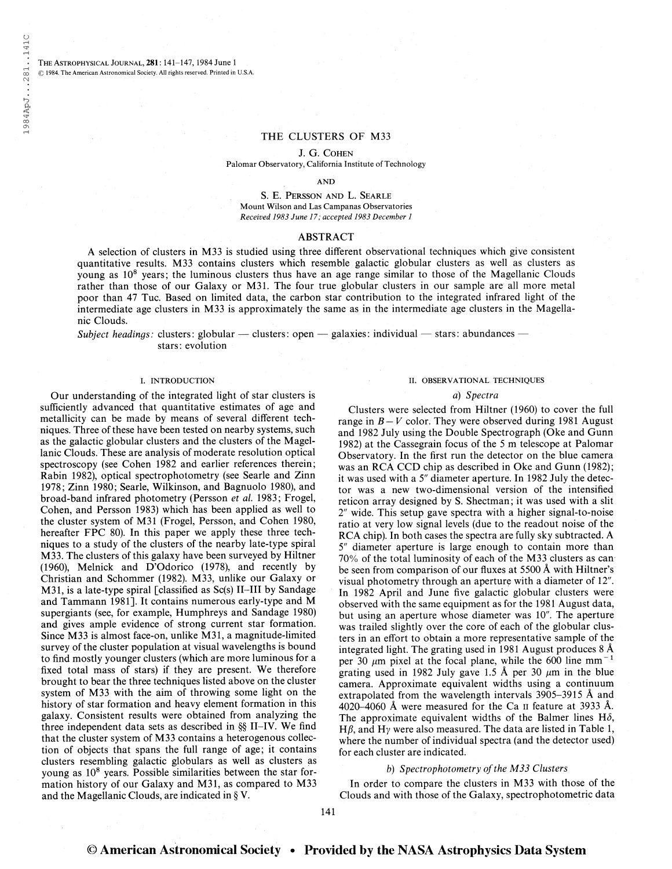THE ASTROPHYSICAL JOURNAL, 281: 141-147, 1984 June 1 © 1984. The American Astronomical Society. All rights reserved. Printed in U.S.A.

## THE CLUSTERS OF M33

J. G. Cohen

Palomar Observatory, California Institute of Technology

AND

S. E. Persson and L. Searle Mount Wilson and Las Campanas Observatories Received 1983 June 17; accepted 1983 December <sup>1</sup>

### ABSTRACT

A selection of clusters in M33 is studied using three different observational techniques which give consistent quantitative results. M33 contains clusters which resemble galactic globular clusters as well as clusters as young as 10<sup>8</sup> years; the luminous clusters thus have an age range similar to those of the Magellanic Clouds rather than those of our Galaxy or M31. The four true globular clusters in our sample are all more metal poor than 47 Tue. Based on limited data, the carbon star contribution to the integrated infrared light of the intermediate age clusters in M33 is approximately the same as in the intermediate age clusters in the Magellanic Clouds.

Subject headings: clusters: globular — clusters: open — galaxies: individual — stars: abundances stars: evolution

### I. INTRODUCTION

Our understanding of the integrated light of star clusters is sufficiently advanced that quantitative estimates of age and metallicity can be made by means of several different techniques. Three of these have been tested on nearby systems, such as the galactic globular clusters and the clusters of the Magellanic Clouds. These are analysis of moderate resolution optical spectroscopy (see Cohen 1982 and earlier references therein; Rabin 1982), optical spectrophotometry (see Searle and Zinn 1978; Zinn 1980; Searle, Wilkinson, and Bagnuolo 1980), and broad-band infrared photometry (Persson et al. 1983; Frogel, Cohen, and Persson 1983) which has been applied as well to the cluster system of M31 (Frogel, Persson, and Cohen 1980, hereafter FPC 80). In this paper we apply these three techniques to a study of the clusters of the nearby late-type spiral M33. The clusters of this galaxy have been surveyed by Hiltner (1960), Melnick and D'Odorico (1978), and recently by Christian and Schommer (1982). M33, unlike our Galaxy or M31, is a late-type spiral [classified as Sc(s) II-III by Sandage and Tammann 1981]. It contains numerous early-type and M supergiants (see, for example, Humphreys and Sandage 1980) and gives ample evidence of strong current star formation. Since M33 is almost face-on, unlike M31, a magnitude-limited survey of the cluster population at visual wavelengths is bound to find mostly younger clusters (which are more luminous for a fixed total mass of stars) if they are present. We therefore brought to bear the three techniques listed above on the cluster system of M33 with the aim of throwing some light on the history of star formation and heavy element formation in this galaxy. Consistent results were obtained from analyzing the three independent data sets as described in §§ II-IV. We find that the cluster system of M33 contains a heterogenous collection of objects that spans the full range of age; it contains clusters resembling galactic globulars as well as clusters as young as 10<sup>8</sup> years. Possible similarities between the star formation history of our Galaxy and M31, as compared to M33 and the Magellanic Clouds, are indicated in § Y.

#### II. OBSERVATIONAL TECHNIQUES

#### a) Spectra

Clusters were selected from Hiltner (1960) to cover the full range in  $B-V$  color. They were observed during 1981 August and 1982 July using the Double Spectrograph (Oke and Gunn 1982) at the Cassegrain focus of the <sup>5</sup> m telescope at Palomar Observatory. In the first run the detector on the blue camera was an RCA CCD chip as described in Oke and Gunn (1982); it was used with a 5" diameter aperture. In 1982 July the detector was a new two-dimensional version of the intensified reticon array designed by S. Shectman; it was used with a slit 2" wide. This setup gave spectra with a higher signal-to-noise ratio at very low signal levels (due to the readout noise of the RCA chip). In both cases the spectra are fully sky subtracted. A 5" diameter aperture is large enough to contain more than 70% of the total luminosity of each of the M33 clusters as can be seen from comparison of our fluxes at 5500 Â with Hiltner's visual photometry through an aperture with a diameter of 12". In 1982 April and June five galactic globular clusters were observed with the same equipment as for the 1981 August data, but using an aperture whose diameter was 10". The aperture was trailed slightly over the core of each of the globular clusters in an effort to obtain a more representative sample of the integrated light. The grating used in 1981 August produces 8 Â per 30  $\mu$ m pixel at the focal plane, while the 600 line mm<sup>-1</sup> grating used in 1982 July gave 1.5 Å per 30  $\mu$ m in the blue camera. Approximate equivalent widths using a continuum extrapolated from the wavelength intervals 3905-3915 Â and 4020-4060 Â were measured for the Ca <sup>11</sup> feature at 3933 Â. The approximate equivalent widths of the Balmer lines  $H\delta$ ,  $H\beta$ , and  $H\gamma$  were also measured. The data are listed in Table 1, where the number of individual spectra (and the detector used) for each cluster are indicated.

### b) Spectrophotometry of the M33 Clusters

In order to compare the clusters in M33 with those of the Clouds and with those of the Galaxy, spectrophotometric data

141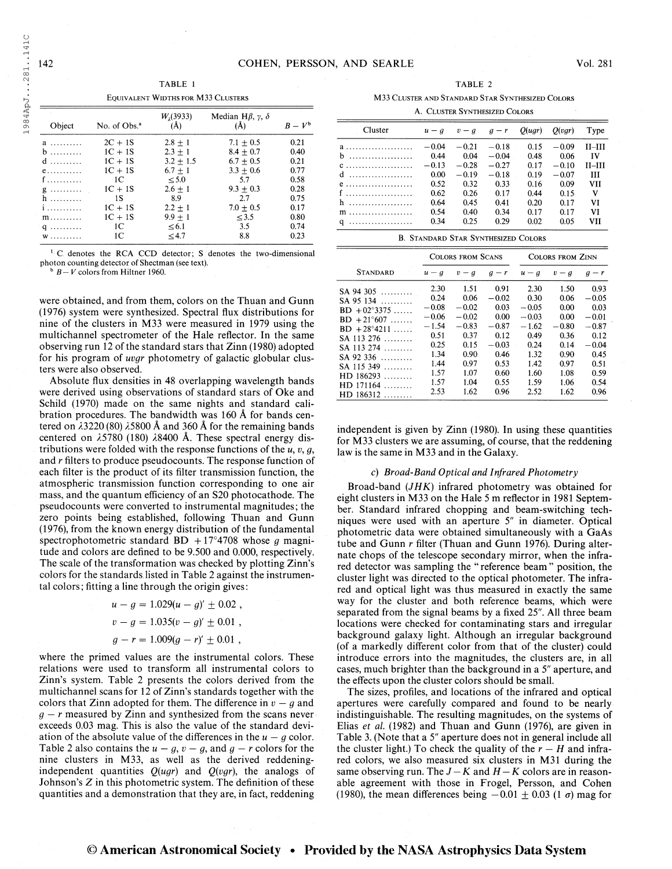1984ApJ...281..141C 1984ApJ. . .281. .14IC

| Object                   | No. of Obs. <sup>a</sup> | $W_1(3933)$<br>(A) | Median H $\beta$ , $\gamma$ , $\delta$<br>(A) | $B-V^b$ |
|--------------------------|--------------------------|--------------------|-----------------------------------------------|---------|
| a                        | $2C + 1S$                | $2.8 + 1$          | $7.1 + 0.5$                                   | 0.21    |
| $b$                      | $1C + 1S$                | $2.3 + 1$          | $8.4 + 0.7$                                   | 0.40    |
| $d$                      | $1C + 1S$                | $3.2 + 1.5$        | $6.7 + 0.5$                                   | 0.21    |
| $e$                      | $1C + 1S$                | $6.7 + 1$          | $3.3 + 0.6$                                   | 0.77    |
| f                        | 1C                       | $\leq 5.0$         | 5.7                                           | 0.58    |
| $g \ldots \ldots \ldots$ | $1C + 1S$                | $2.6 + 1$          | $9.3 + 0.3$                                   | 0.28    |
| $h$                      | 1S                       | 8.9                | 2.7                                           | 0.75    |
| <i>i</i>                 | $1C + 1S$                | $2.2 \pm 1$        | $7.0 \pm 0.5$                                 | 0.17    |
| $m \ldots \ldots \ldots$ | $1C + 1S$                | $9.9 + 1$          | < 3.5                                         | 0.80    |
| $q \ldots \ldots \ldots$ | 1C                       | < 6.1              | 3.5                                           | 0.74    |
| W                        | 1C                       | < 4.7              | 8.8                                           | 0.23    |

<sup>&</sup>lt;sup>1</sup> C denotes the RCA CCD detector; S denotes the two-dimensional photon counting detector of Shectman (see text).<br> $h B - V$  colors from Hiltner 1960.

were obtained, and from them, colors on the Thuan and Gunn (1976) system were synthesized. Spectral flux distributions for nine of the clusters in M33 were measured in 1979 using the multichannel spectrometer of the Hale reflector. In the same observing run 12 of the standard stars that Zinn (1980) adopted for his program of uvgr photometry of galactic globular clusters were also observed.

Absolute flux densities in 48 overlapping wavelength bands were derived using observations of standard stars of Oke and Schild (1970) made on the same nights and standard calibration procedures. The bandwidth was 160 Â for bands centered on  $\lambda$ 3220 (80)  $\lambda$ 5800 Å and 360 Å for the remaining bands centered on  $\lambda$ 5780 (180)  $\lambda$ 8400 Å. These spectral energy distributions were folded with the response functions of the  $u, v, g$ , and r filters to produce pseudocounts. The response function of each filter is the product of its filter transmission function, the atmospheric transmission function corresponding to one air mass, and the quantum efficiency of an S20 photocathode. The pseudocounts were converted to instrumental magnitudes; the zero points being established, following Thuan and Gunn (1976), from the known energy distribution of the fundamental spectrophotometric standard BD +17°4708 whose g magnitude and colors are defined to be 9.500 and 0.000, respectively. The scale of the transformation was checked by plotting Zinn's colors for the standards listed in Table 2 against the instrumental colors; fitting a line through the origin gives :

> $u - g = 1.029(u - g)' \pm 0.02$ ,  $v - g = 1.035(v - g)' \pm 0.01$ ,  $g - r = 1.009(g - r)' \pm 0.01$ ,

where the primed values are the instrumental colors. These relations were used to transform all instrumental colors to Zinn's system. Table 2 presents the colors derived from the multichannel scans for 12 of Zinn's standards together with the colors that Zinn adopted for them. The difference in  $v - g$  and  $g - r$  measured by Zinn and synthesized from the scans never exceeds 0.03 mag. This is also the value of the standard deviation of the absolute value of the differences in the  $u - g$  color. Table 2 also contains the  $u - g$ ,  $v - g$ , and  $g - r$  colors for the nine clusters in M33, as well as the derived reddeningindependent quantities  $Q(ugr)$  and  $Q(vgr)$ , the analogs of Johnson's Z in this photometric system. The definition of these quantities and a demonstration that they are, in fact, reddening

TABLE 1 TABLE 2 Equivalent Widths for M33 Clusters M33 Cluster and Standard Star Synthesized Colors  $A$ . Currence Synthesized Colors

| A. ULUSTER SYNTHESIZED COLORS |         |         |         |         |         |           |
|-------------------------------|---------|---------|---------|---------|---------|-----------|
| Cluster                       | $u - q$ | $v - q$ | $q - r$ | O( ugr) | Q(vgr)  | Type      |
|                               | $-0.04$ | $-0.21$ | $-0.18$ | 0.15    | $-0.09$ | 11–111    |
| $b$                           | 0.44    | 0.04    | $-0.04$ | 0.48    | 0.06    | <b>IV</b> |
| $C$ ,,,,,,,,,,,,,,,,,,,,,,,,  | $-0.13$ | $-0.28$ | $-0.27$ | 0.17    | $-0.10$ | 11–111    |
| $d$                           | 0.00    | $-0.19$ | $-0.18$ | 0.19    | $-0.07$ | Ш         |
| $e$                           | 0.52    | 0.32    | 0.33    | 0.16    | 0.09    | VH        |
| f                             | 0.62    | 0.26    | 0.17    | 0.44    | 0.15    | v         |
| h                             | 0.64    | 0.45    | 0.41    | 0.20    | 0.17    | VI        |
| $\mathbf{m}$                  | 0.54    | 0.40    | 0.34    | 0.17    | 0.17    | VI        |
| $q$                           | 0.34    | 0.25    | 0.29    | 0.02    | 0.05    | VH        |

|  | <b>B. STANDARD STAR SYNTHESIZED COLORS</b> |  |
|--|--------------------------------------------|--|
|  |                                            |  |

|                                                                                                                                                                                                                        | <b>COLORS FROM SCANS</b>                                                                              |                                                                                                       |                                                                                                       | <b>COLORS FROM ZINN</b>                                                                               |                                                                                                 |                                                                                                          |
|------------------------------------------------------------------------------------------------------------------------------------------------------------------------------------------------------------------------|-------------------------------------------------------------------------------------------------------|-------------------------------------------------------------------------------------------------------|-------------------------------------------------------------------------------------------------------|-------------------------------------------------------------------------------------------------------|-------------------------------------------------------------------------------------------------|----------------------------------------------------------------------------------------------------------|
| <b>STANDARD</b>                                                                                                                                                                                                        | $u - q$                                                                                               | $v - q$                                                                                               | $g-r$                                                                                                 | $u - g$                                                                                               | $v - g$                                                                                         | $q - r$                                                                                                  |
| $SA$ 94 305<br>$SA$ 95 134<br>$BD + 02^{\circ}3375$<br>$BD + 21^{\circ}607$<br>$BD + 28^{\circ}4211$<br>$SA$ 113 276<br>$SA$ 113 274<br>$SA$ 92 336<br>$SA$ 115 349<br>HD 186293<br>.<br>HD 171164<br>.<br>$HD$ 186312 | 2.30<br>0.24<br>$-0.08$<br>$-0.06$<br>$-1.54$<br>0.51<br>0.25<br>1.34<br>1.44<br>1.57<br>1.57<br>2.53 | 1.51<br>0.06<br>$-0.02$<br>$-0.02$<br>$-0.83$<br>0.37<br>0.15<br>0.90<br>0.97<br>1.07<br>1.04<br>1.62 | 0.91<br>$-0.02$<br>0.03<br>0.00<br>$-0.87$<br>0.12<br>$-0.03$<br>0.46<br>0.53<br>0.60<br>0.55<br>0.96 | 2.30<br>0.30<br>$-0.05$<br>$-0.03$<br>$-1.62$<br>0.49<br>0.24<br>1.32<br>1.42<br>1.60<br>1.59<br>2.52 | 1.50<br>0.06<br>0.00<br>0.00<br>$-0.80$<br>0.36<br>0.14<br>0.90<br>0.97<br>1.08<br>1.06<br>1.62 | 0.93<br>$-0.05$<br>0.03<br>$-0.01$<br>$-0.87$<br>0.12<br>$-0.04$<br>0.45<br>0.51<br>0.59<br>0.54<br>0.96 |

independent is given by Zinn (1980). In using these quantities for M33 clusters we are assuming, of course, that the reddening law is the same in M33 and in the Galaxy.

### c) Broad-Band Optical and Infrared Photometry

Broad-band (JHK) infrared photometry was obtained for eight clusters in M33 on the Hale 5 m reflector in 1981 September. Standard infrared chopping and beam-switching techniques were used with an aperture 5" in diameter. Optical photometric data were obtained simultaneously with a GaAs tube and Gunn r filter (Thuan and Gunn 1976). During alternate chops of the telescope secondary mirror, when the infrared detector was sampling the " reference beam " position, the cluster light was directed to the optical photometer. The infrared and optical light was thus measured in exactly the same way for the cluster and both reference beams, which were separated from the signal beams by a fixed 25". All three beam locations were checked for contaminating stars and irregular background galaxy light. Although an irregular background (of a markedly different color from that of the cluster) could introduce errors into the magnitudes, the clusters are, in all cases, much brighter than the background in a 5" aperture, and the effects upon the cluster colors should be small.

The sizes, profiles, and locations of the infrared and optical apertures were carefully compared and found to be nearly indistinguishable. The resulting magnitudes, on the systems of Elias et al. (1982) and Thuan and Gunn (1976), are given in Table 3. (Note that a 5" aperture does not in general include all the cluster light.) To check the quality of the  $r - H$  and infrared colors, we also measured six clusters in M31 during the same observing run. The  $J - K$  and  $H - K$  colors are in reasonable agreement with those in Frogel, Persson, and Cohen (1980), the mean differences being  $-0.01 \pm 0.03$  (1  $\sigma$ ) mag for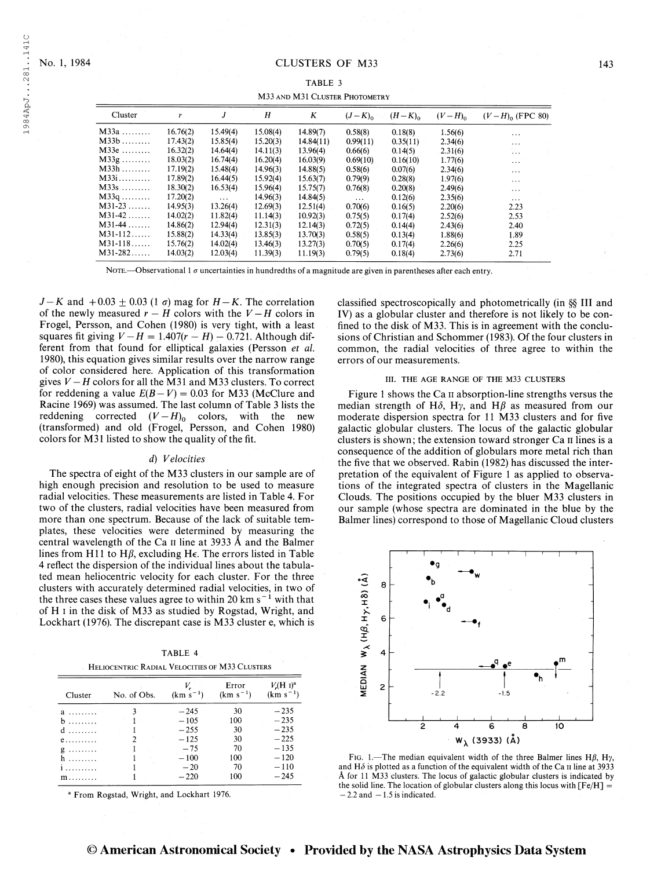| M33 AND M31 CLUSTER PHOTOMETRY |          |          |          |           |             |             |             |                      |
|--------------------------------|----------|----------|----------|-----------|-------------|-------------|-------------|----------------------|
| Cluster                        | r        | J        | H        | Κ         | $(J-K)_{0}$ | $(H-K)_{0}$ | $(V-H)_{0}$ | $(V-H)_{0}$ (FPC 80) |
| $M33a$                         | 16.76(2) | 15.49(4) | 15.08(4) | 14.89(7)  | 0.58(8)     | 0.18(8)     | 1.56(6)     | $\cdots$             |
| $M33b$                         | 17.43(2) | 15.85(4) | 15.20(3) | 14.84(11) | 0.99(11)    | 0.35(11)    | 2.34(6)     | $\cdots$             |
| $M33e$                         | 16.32(2) | 14.64(4) | 14.11(3) | 13.96(4)  | 0.66(6)     | 0.14(5)     | 2.31(6)     | $\sim$<br>$\cdots$   |
| $M33g$                         | 18.03(2) | 16.74(4) | 16.20(4) | 16.03(9)  | 0.69(10)    | 0.16(10)    | 1.77(6)     | $\cdots$             |
| $M33h$                         | 17.19(2) | 15.48(4) | 14.96(3) | 14.88(5)  | 0.58(6)     | 0.07(6)     | 2.34(6)     | $\cdots$             |
| $M33i$                         | 17.89(2) | 16.44(5) | 15.92(4) | 15.63(7)  | 0.79(9)     | 0.28(8)     | 1.97(6)     | $\cdots$             |
| $M33s$                         | 18.30(2) | 16.53(4) | 15.96(4) | 15.75(7)  | 0.76(8)     | 0.20(8)     | 2.49(6)     | $\cdots$             |
| $M33q$                         | 17.20(2) | $\cdots$ | 14.96(3) | 14.84(5)  | $\cdots$    | 0.12(6)     | 2.35(6)     | $\cdots$             |
| $M31-23$                       | 14.95(3) | 13.26(4) | 12.69(3) | 12.51(4)  | 0.70(6)     | 0.16(5)     | 2.20(6)     | 2.23                 |
| $M31-42$                       | 14.02(2) | 11.82(4) | 11.14(3) | 10.92(3)  | 0.75(5)     | 0.17(4)     | 2.52(6)     | 2.53                 |
| $M31-44$                       | 14.86(2) | 12.94(4) | 12.31(3) | 12.14(3)  | 0.72(5)     | 0.14(4)     | 2.43(6)     | 2.40                 |
| $M31-112$                      | 15.88(2) | 14.33(4) | 13.85(3) | 13.70(3)  | 0.58(5)     | 0.13(4)     | 1.88(6)     | 1.89                 |
| $M31-118$                      | 15.76(2) | 14.02(4) | 13.46(3) | 13.27(3)  | 0.70(5)     | 0.17(4)     | 2.26(6)     | 2.25                 |
| $M31-282$                      | 14.03(2) | 12.03(4) | 11.39(3) | 11.19(3)  | 0.79(5)     | 0.18(4)     | 2.73(6)     | 2.71                 |

NOTE.—Observational 1  $\sigma$  uncertainties in hundredths of a magnitude are given in parentheses after each entry.

 $J-K$  and  $+0.03 \pm 0.03$  (1  $\sigma$ ) mag for  $H-K$ . The correlation of the newly measured  $r - H$  colors with the  $V - H$  colors in Frogel, Persson, and Cohen (1980) is very tight, with a least squares fit giving  $V - H = 1.407(r - H) - 0.721$ . Although different from that found for elliptical galaxies (Persson et al. 1980), this equation gives similar results over the narrow range of color considered here. Application of this transformation gives  $V - H$  colors for all the M31 and M33 clusters. To correct for reddening a value  $E(B-V) = 0.03$  for M33 (McClure and Racine 1969) was assumed. The last column of Table 3 lists the reddening corrected  $(V - H)$ <sub>0</sub> colors, with the new (transformed) and old (Frogel, Persson, and Cohen 1980) colors for M31 listed to show the quality of the fit.

# d) Velocities

The spectra of eight of the M33 clusters in our sample are of high enough precision and resolution to be used to measure radial velocities. These measurements are listed in Table 4. For two of the clusters, radial velocities have been measured from more than one spectrum. Because of the lack of suitable templates, these velocities were determined by measuring the central wavelength of the Ca n line at 3933 Â and the Balmer lines from H11 to H $\beta$ , excluding H $\epsilon$ . The errors listed in Table 4 reflect the dispersion of the individual lines about the tabulated mean heliocentric velocity for each cluster. For the three clusters with accurately determined radial velocities, in two of the three cases these values agree to within 20 km  $s^{-1}$  with that of H i in the disk of M33 as studied by Rogstad, Wright, and Lockhart (1976). The discrepant case is M33 cluster e, which is

|                                                | TABLE 4 |  |
|------------------------------------------------|---------|--|
| Heliocentric Radial Velocities of M33 Clusters |         |  |

| Cluster             | No. of Obs. | $(km s^{-1})$ | Error<br>$(km s^{-1})$ | $V(H_1)^a$<br>$(km s^{-1})$ |
|---------------------|-------------|---------------|------------------------|-----------------------------|
| a                   |             | $-245$        | 30                     | $-235$                      |
| b<br>.              |             | $-105$        | 100                    | $-235$                      |
| $d$                 |             | $-255$        | 30                     | $-235$                      |
| $e$                 |             | $-125$        | 30                     | $-225$                      |
| g                   |             | $-75$         | 70                     | $-135$                      |
| h                   |             | $-100$        | 100                    | $-120$                      |
|                     |             | $-20$         | 70                     | $-110$                      |
| $m \ldots \ldots$ . |             | $-220$        | 100                    | $-245$                      |

<sup>a</sup> From Rogstad, Wright, and Lockhart 1976.

classified spectroscopically and photometrically (in §§ III and IV) as a globular cluster and therefore is not likely to be confined to the disk of M33. This is in agreement with the conclusions of Christian and Schommer (1983). Of the four clusters in common, the radial velocities of three agree to within the errors of our measurements.

### III. THE AGE RANGE OF THE M33 CLUSTERS

Figure 1 shows the Ca  $\pi$  absorption-line strengths versus the median strength of H $\delta$ , H $\gamma$ , and H $\beta$  as measured from our moderate dispersion spectra for 11 M33 clusters and for five galactic globular clusters. The locus of the galactic globular clusters is shown; the extension toward stronger Ca n lines is a consequence of the addition of globulars more metal rich than the five that we observed. Rabin (1982) has discussed the interpretation of the equivalent of Figure <sup>1</sup> as applied to observations of the integrated spectra of clusters in the Magellanic Clouds. The positions occupied by the bluer M33 clusters in our sample (whose spectra are dominated in the blue by the Balmer lines) correspond to those of Magellanic Cloud clusters



FIG. 1.—The median equivalent width of the three Balmer lines H $\beta$ , H $\gamma$ , and H $\delta$  is plotted as a function of the equivalent width of the Ca II line at 3933 Â for 11 M33 clusters. The locus of galactic globular clusters is indicated by the solid line. The location of globular clusters along this locus with  $[Fe/H] =$  $-2.2$  and  $-1.5$  is indicated.

# © American Astronomical Society • Provided by the NASA Astrophysics Data System

1984ApJ...281..141C 1984ApJ. . .281. .14IC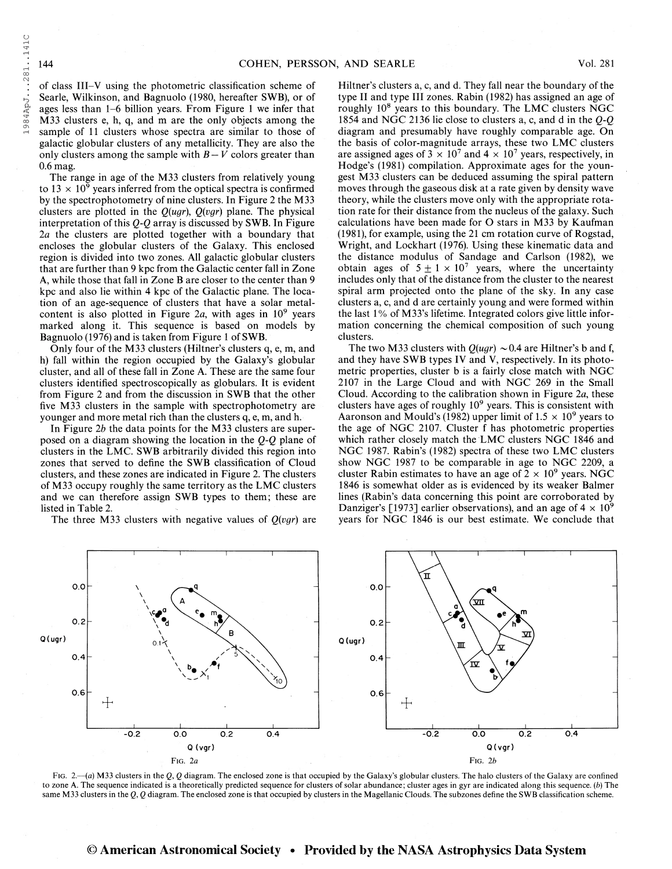1984ApJ...281..141C

of class III-V using the photometric classification scheme of Searle, Wilkinson, and Bagnuolo (1980, hereafter SWB), or of ages less than 1-6 billion years. From Figure <sup>1</sup> we infer that M33 clusters e, h, q, and m are the only objects among the sample of 11 clusters whose spectra are similar to those of galactic globular clusters of any metallicity. They are also the only clusters among the sample with  $B-V$  colors greater than 0.6 mag.

The range in age of the M33 clusters from relatively young to  $13 \times 10^9$  years inferred from the optical spectra is confirmed by the spectrophotometry of nine clusters. In Figure 2 the M33 clusters are plotted in the  $Q(ugr)$ ,  $Q(vgr)$  plane. The physical interpretation of this Q-Q array is discussed by SWB. In Figure 2a the clusters are plotted together with a boundary that encloses the globular clusters of the Galaxy. This enclosed region is divided into two zones. All galactic globular clusters that are further than 9 kpc from the Galactic center fall in Zone A, while those that fall in Zone B are closer to the center than 9 kpc and also lie within 4 kpc of the Galactic plane. The location of an age-sequence of clusters that have a solar metalcontent is also plotted in Figure 2a, with ages in  $10^9$  years marked along it. This sequence is based on models by Bagnuolo (1976) and is taken from Figure <sup>1</sup> of SWB.

Only four of the M33 clusters (Hiltner's clusters q, e, m, and h) fall within the region occupied by the Galaxy's globular cluster, and all of these fall in Zone A. These are the same four clusters identified spectroscopically as globulars. It is evident from Figure 2 and from the discussion in SWB that the other five M33 clusters in the sample with spectrophotometry are younger and more metal rich than the clusters q, e, m, and h.

In Figure 2b the data points for the M33 clusters are superposed on a diagram showing the location in the  $Q-Q$  plane of clusters in the EMC. SWB arbitrarily divided this region into zones that served to define the SWB classification of Cloud clusters, and these zones are indicated in Figure 2. The clusters of M33 occupy roughly the same territory as the EMC clusters and we can therefore assign SWB types to them; these are listed in Table 2.

The three M33 clusters with negative values of  $Q(vgr)$  are

Hiltner's clusters a, c, and d. They fall near the boundary of the type II and type III zones. Rabin (1982) has assigned an age of roughly 10<sup>8</sup> years to this boundary. The LMC clusters NGC 1854 and NGC 2136 lie close to clusters a, c, and d in the  $Q-Q$ diagram and presumably have roughly comparable age. On the basis of color-magnitude arrays, these two EMC clusters are assigned ages of  $3 \times 10^7$  and  $4 \times 10^7$  years, respectively, in Hodge's (1981) compilation. Approximate ages for the youngest M33 clusters can be deduced assuming the spiral pattern moves through the gaseous disk at a rate given by density wave theory, while the clusters move only with the appropriate rotation rate for their distance from the nucleus of the galaxy. Such calculations have been made for O stars in M33 by Kaufman (1981), for example, using the 21 cm rotation curve of Rogstad, Wright, and Lockhart (1976). Using these kinematic data and the distance modulus of Sandage and Carlson (1982), we obtain ages of  $5 \pm 1 \times 10^7$  years, where the uncertainty includes only that of the distance from the cluster to the nearest spiral arm projected onto the plane of the sky. In any case clusters a, c, and d are certainly young and were formed within the last 1% of M33's lifetime. Integrated colors give little information concerning the chemical composition of such young clusters.

The two M33 clusters with  $Q(ugr) \sim 0.4$  are Hiltner's b and f, and they have SWB types IV and V, respectively. In its photometric properties, cluster b is a fairly close match with NGC 2107 in the Large Cloud and with NGC 269 in the Small Cloud. According to the calibration shown in Figure 2a, these clusters have ages of roughly  $10^9$  years. This is consistent with Aaronson and Mould's (1982) upper limit of  $1.5 \times 10^9$  years to the age of NGC 2107. Cluster f has photometric properties which rather closely match the EMC clusters NGC 1846 and NGC 1987. Rabin's (1982) spectra of these two EMC clusters show NGC 1987 to be comparable in age to NGC 2209, a cluster Rabin estimates to have an age of  $2 \times 10^9$  years. NGC 1846 is somewhat older as is evidenced by its weaker Balmer lines (Rabin's data concerning this point are corroborated by Danziger's [1973] earlier observations), and an age of  $4 \times 10^9$ years for NGC 1846 is our best estimate. We conclude that



Fig. 2.—(a) M33 clusters in the Q, Q diagram. The enclosed zone is that occupied by the Galaxy's globular clusters. The halo clusters of the Galaxy are confined to zone A. The sequence indicated is a theoretically predicted sequence for clusters of solar abundance; cluster ages in gyr are indicated along this sequence, (b) The same M33 clusters in the  $Q$ ,  $Q$  diagram. The enclosed zone is that occupied by clusters in the Magellanic Clouds. The subzones define the SWB classification scheme.

# © American Astronomical Society • Provided by the NASA Astrophysics Data System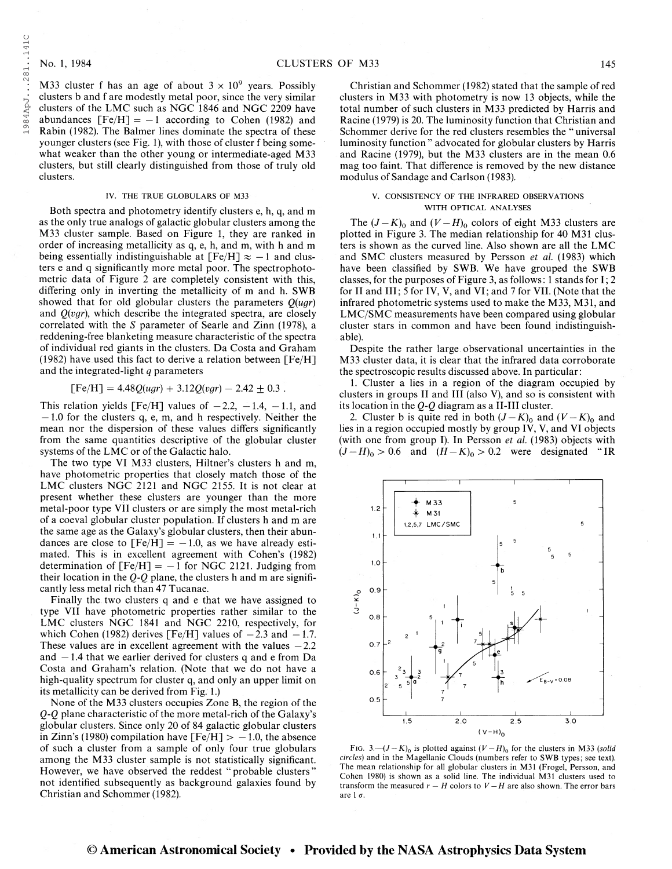1984ApJ. . .281. .14IC

984ApJ...281..141C

M33 cluster f has an age of about  $3 \times 10^9$  years. Possibly clusters b and f are modestly metal poor, since the very similar clusters of the LMC such as NGC 1846 and NGC 2209 have abundances  $[Fe/H] = -1$  according to Cohen (1982) and Rabin (1982). The Balmer lines dominate the spectra of these younger clusters (see Fig. 1), with those of cluster f being somewhat weaker than the other young or intermediate-aged M33 clusters, but still clearly distinguished from those of truly old clusters.

#### IV. THE TRUE GLOBULARS OF M33

Both spectra and photometry identify clusters e, h, q, and m as the only true analogs of galactic globular clusters among the M33 cluster sample. Based on Figure 1, they are ranked in order of increasing metallicity as q, e, h, and m, with h and m being essentially indistinguishable at  $[Fe/H] \approx -1$  and clusters e and q significantly more metal poor. The spectrophotometric data of Figure 2 are completely consistent with this, differing only in inverting the metallicity of m and h. SWB showed that for old globular clusters the parameters  $Q(ugr)$ and  $Q(vgr)$ , which describe the integrated spectra, are closely correlated with the S parameter of Searle and Zinn (1978), a reddening-free blanketing measure characteristic of the spectra of individual red giants in the clusters. Da Costa and Graham (1982) have used this fact to derive a relation between  $[Fe/H]$ and the integrated-light q parameters

 $[Fe/H] = 4.48Q(ugr) + 3.12Q(vgr) - 2.42 \pm 0.3$ .

This relation yields [Fe/H] values of  $-2.2$ ,  $-1.4$ ,  $-1.1$ , and  $-1.0$  for the clusters q, e, m, and h respectively. Neither the mean nor the dispersion of these values differs significantly from the same quantities descriptive of the globular cluster systems of the LMC or of the Galactic halo.

The two type VI M33 clusters, Hiltner's clusters h and m, have photometric properties that closely match those of the LMC clusters NGC 2121 and NGC 2155. It is not clear at present whether these clusters are younger than the more metal-poor type VII clusters or are simply the most metal-rich of a coeval globular cluster population. If clusters h and m are the same age as the Galaxy's globular clusters, then their abundances are close to  $[Fe/H] = -1.0$ , as we have already estimated. This is in excellent agreement with Cohen's (1982) determination of  $[Fe/H] = -1$  for NGC 2121. Judging from their location in the  $Q-Q$  plane, the clusters h and m are significantly less metal rich than 47 Tucanae.

Finally the two clusters q and e that we have assigned to type VII have photometric properties rather similar to the LMC clusters NGC 1841 and NGC 2210, respectively, for which Cohen (1982) derives [Fe/H] values of  $-2.3$  and  $-1.7$ . These values are in excellent agreement with the values  $-2.2$ and —1.4 that we earlier derived for clusters q and e from Da Costa and Graham's relation. (Note that we do not have a high-quality spectrum for cluster q, and only an upper limit on its metallicity can be derived from Fig. 1.)

None of the M33 clusters occupies Zone B, the region of the Q-Q plane characteristic of the more metal-rich of the Galaxy's globular clusters. Since only 20 of 84 galactic globular clusters in Zinn's (1980) compilation have  $[Fe/H] > -1.0$ , the absence of such a cluster from a sample of only four true globulars among the M33 cluster sample is not statistically significant. However, we have observed the reddest "probable clusters" not identified subsequently as background galaxies found by Christian and Schommer (1982).

Christian and Schommer (1982) stated that the sample of red clusters in M33 with photometry is now 13 objects, while the total number of such clusters in M33 predicted by Harris and Racine (1979) is 20. The luminosity function that Christian and Schommer derive for the red clusters resembles the " universal luminosity function " advocated for globular clusters by Harris and Racine (1979), but the M33 clusters are in the mean 0.6 mag too faint. That difference is removed by the new distance modulus of Sandage and Carlson (1983).

### V. CONSISTENCY OF THE INFRARED OBSERVATIONS WITH OPTICAL ANALYSES

The  $(J - K)_{0}$  and  $(V - H)_{0}$  colors of eight M33 clusters are plotted in Figure 3. The median relationship for 40 M31 clusters is shown as the curved line. Also shown are all the LMC and SMC clusters measured by Persson et al. (1983) which have been classified by SWB. We have grouped the SWB classes, for the purposes of Figure 3, as follows: <sup>1</sup> stands for I; 2 for II and III; <sup>5</sup> for IV, V, and VI; and 7 for VII. (Note that the infrared photometric systems used to make the M33, M31, and LMC/SMC measurements have been compared using globular cluster stars in common and have been found indistinguishable).

Despite the rather large observational uncertainties in the M33 cluster data, it is clear that the infrared data corroborate the spectroscopic results discussed above. In particular:

1. Cluster a lies in a region of the diagram occupied by clusters in groups II and III (also V), and so is consistent with its location in the Q-Q diagram as a II-III cluster.

2. Cluster b is quite red in both  $(J-K)_0$  and  $(V-K)_0$  and lies in a region occupied mostly by group IV, V, and VI objects (with one from group I). In Persson et al. (1983) objects with  $(J-H)_0 > 0.6$  and  $(H-K)_0 > 0.2$  were designated "IR



FIG. 3.— $(J-K)_0$  is plotted against  $(V-H)_0$  for the clusters in M33 (solid circles) and in the Magellanic Clouds (numbers refer to SWB types; see text). The mean relationship for all globular clusters in M31 (Frogel, Persson, and Cohen 1980) is shown as a solid line. The individual M31 clusters used to transform the measured  $r - H$  colors to  $V - H$  are also shown. The error bars are  $1\sigma$ .

# © American Astronomical Society • Provided by the NASA Astrophysics Data System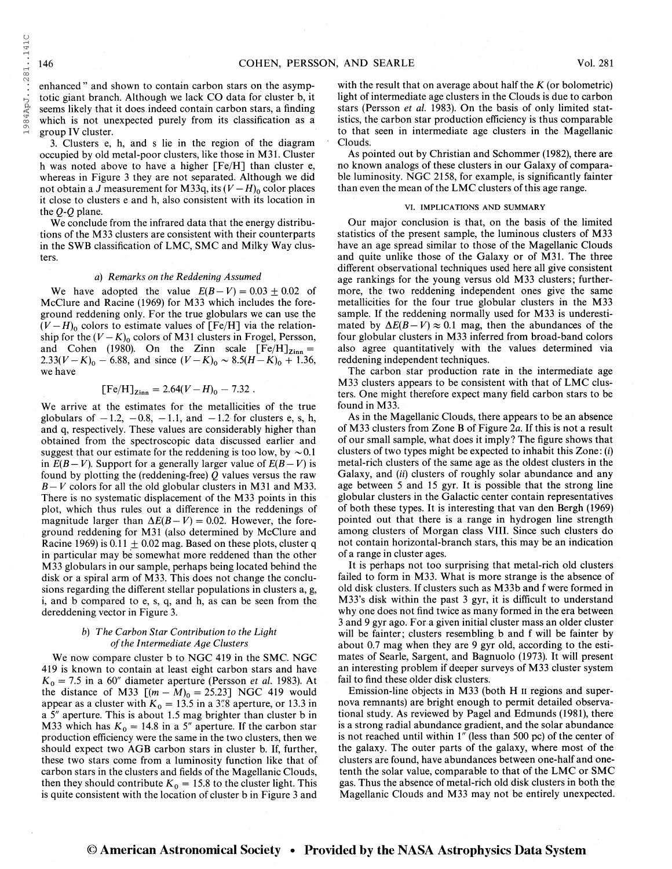enhanced " and shown to contain carbon stars on the asymptotic giant branch. Although we lack CO data for cluster b, it seems likely that it does indeed contain carbon stars, a finding which is not unexpected purely from its classification as a group IV cluster.

3. Clusters e, h, and s lie in the region of the diagram occupied by old metal-poor clusters, like those in M31. Cluster h was noted above to have a higher [Fe/H] than cluster e, whereas in Figure 3 they are not separated. Although we did not obtain a J measurement for M33q, its  $(V - H)$ <sub>0</sub> color places it close to clusters e and h, also consistent with its location in the Q-Q plane.

We conclude from the infrared data that the energy distributions of the M33 clusters are consistent with their counterparts in the SWB classification of EMC, SMC and Milky Way clusters.

### a) Remarks on the Reddening Assumed

We have adopted the value  $E(B-V) = 0.03 \pm 0.02$  of McClure and Racine (1969) for M33 which includes the foreground reddening only. For the true globulars we can use the  $(V-H)$ <sub>0</sub> colors to estimate values of [Fe/H] via the relationship for the  $(V - K)_0$  colors of M31 clusters in Frogel, Persson, and Cohen (1980). On the Zinn scale  $[Fe/H]_{Zinn} = 2.33(V-K)_0 - 6.88$ , and since  $(V-K)_0 - 8.5(H-K)_0 + 1.36$ , we have

$$
[Fe/H]_{\rm Zinn} = 2.64(V-H)_0 - 7.32.
$$

We arrive at the estimates for the metallicities of the true globulars of  $-1.2$ ,  $-0.8$ ,  $-1.1$ , and  $-1.2$  for clusters e, s, h, and q, respectively. These values are considerably higher than obtained from the spectroscopic data discussed earlier and suggest that our estimate for the reddening is too low, by  $\sim 0.1$ in  $E(B-V)$ . Support for a generally larger value of  $E(B-V)$  is found by plotting the (reddening-free) Q values versus the raw  $B-V$  colors for all the old globular clusters in M31 and M33. There is no systematic displacement of the M33 points in this plot, which thus rules out a difference in the reddenings of magnitude larger than  $\Delta E(B - V) = 0.02$ . However, the foreground reddening for M31 (also determined by McClure and Racine 1969) is  $0.11 \pm 0.02$  mag. Based on these plots, cluster q in particular may be somewhat more reddened than the other M33 globulars in our sample, perhaps being located behind the disk or a spiral arm of M33. This does not change the conclusions regarding the different stellar populations in clusters a, g, i, and b compared to e, s, q, and h, as can be seen from the dereddening vector in Figure 3.

### b) The Carbon Star Contribution to the Light ofthe Intermediate Age Clusters

We now compare cluster b to NGC 419 in the SMC. NGC 419 is known to contain at least eight carbon stars and have  $K_0 = 7.5$  in a 60" diameter aperture (Persson *et al.* 1983). At the distance of M33  $[(m - M)_0 = 25.23]$  NGC 419 would appear as a cluster with  $K_0 = 13.5$  in a 3"8 aperture, or 13.3 in a 5" aperture. This is about 1.5 mag brighter than cluster b in M33 which has  $K_0 = 14.8$  in a 5" aperture. If the carbon star production efficiency were the same in the two clusters, then we should expect two AGB carbon stars in cluster b. If, further, these two stars come from a luminosity function like that of carbon stars in the clusters and fields of the Magellanic Clouds, then they should contribute  $K_0 = 15.8$  to the cluster light. This is quite consistent with the location of cluster b in Figure 3 and with the result that on average about half the  $K$  (or bolometric) light of intermediate age clusters in the Clouds is due to carbon stars (Persson et al. 1983). On the basis of only limited statistics, the carbon star production efficiency is thus comparable to that seen in intermediate age clusters in the Magellanic Clouds.

As pointed out by Christian and Schommer (1982), there are no known analogs of these clusters in our Galaxy of comparable luminosity. NGC 2158, for example, is significantly fainter than even the mean of the LMC clusters of this age range.

### VI. IMPLICATIONS AND SUMMARY

Our major conclusion is that, on the basis of the limited statistics of the present sample, the luminous clusters of M33 have an age spread similar to those of the Magellanic Clouds and quite unlike those of the Galaxy or of M31. The three different observational techniques used here all give consistent age rankings for the young versus old M33 clusters; furthermore, the two reddening independent ones give the same metallicities for the four true globular clusters in the M33 sample. If the reddening normally used for M33 is underestimated by  $\Delta E(B-V) \approx 0.1$  mag, then the abundances of the four globular clusters in M33 inferred from broad-band colors also agree quantitatively with the values determined via reddening independent techniques.

The carbon star production rate in the intermediate age M33 clusters appears to be consistent with that of EMC clusters. One might therefore expect many field carbon stars to be found in M33.

As in the Magellanic Clouds, there appears to be an absence of M33 clusters from Zone B of Figure 2a. If this is not a result of our small sample, what does it imply? The figure shows that clusters of two types might be expected to inhabit this Zone : (i) metal-rich clusters of the same age as the oldest clusters in the Galaxy, and (ii) clusters of roughly solar abundance and any age between 5 and 15 gyr. It is possible that the strong line globular clusters in the Galactic center contain representatives of both these types. It is interesting that van den Bergh (1969) pointed out that there is a range in hydrogen line strength among clusters of Morgan class VIII. Since such clusters do not contain horizontal-branch stars, this may be an indication of a range in cluster ages.

It is perhaps not too surprising that metal-rich old clusters failed to form in M33. What is more strange is the absence of old disk clusters. If clusters such as M33b and f were formed in M33's disk within the past 3 gyr, it is difficult to understand why one does not find twice as many formed in the era between <sup>3</sup> and 9 gyr ago. For a given initial cluster mass an older cluster will be fainter; clusters resembling b and f will be fainter by about 0.7 mag when they are 9 gyr old, according to the estimates of Searle, Sargent, and Bagnuolo (1973). It will present an interesting problem if deeper surveys of M33 cluster system fail to find these older disk clusters.

Emission-line objects in M33 (both H  $\scriptstyle\rm II$  regions and supernova remnants) are bright enough to permit detailed observational study. As reviewed by Pagel and Edmunds (1981), there is a strong radial abundance gradient, and the solar abundance is not reached until within 1" (less than 500 pc) of the center of the galaxy. The outer parts of the galaxy, where most of the clusters are found, have abundances between one-half and onetenth the solar value, comparable to that of the EMC or SMC gas. Thus the absence of metal-rich old disk clusters in both the Magellanic Clouds and M33 may not be entirely unexpected.